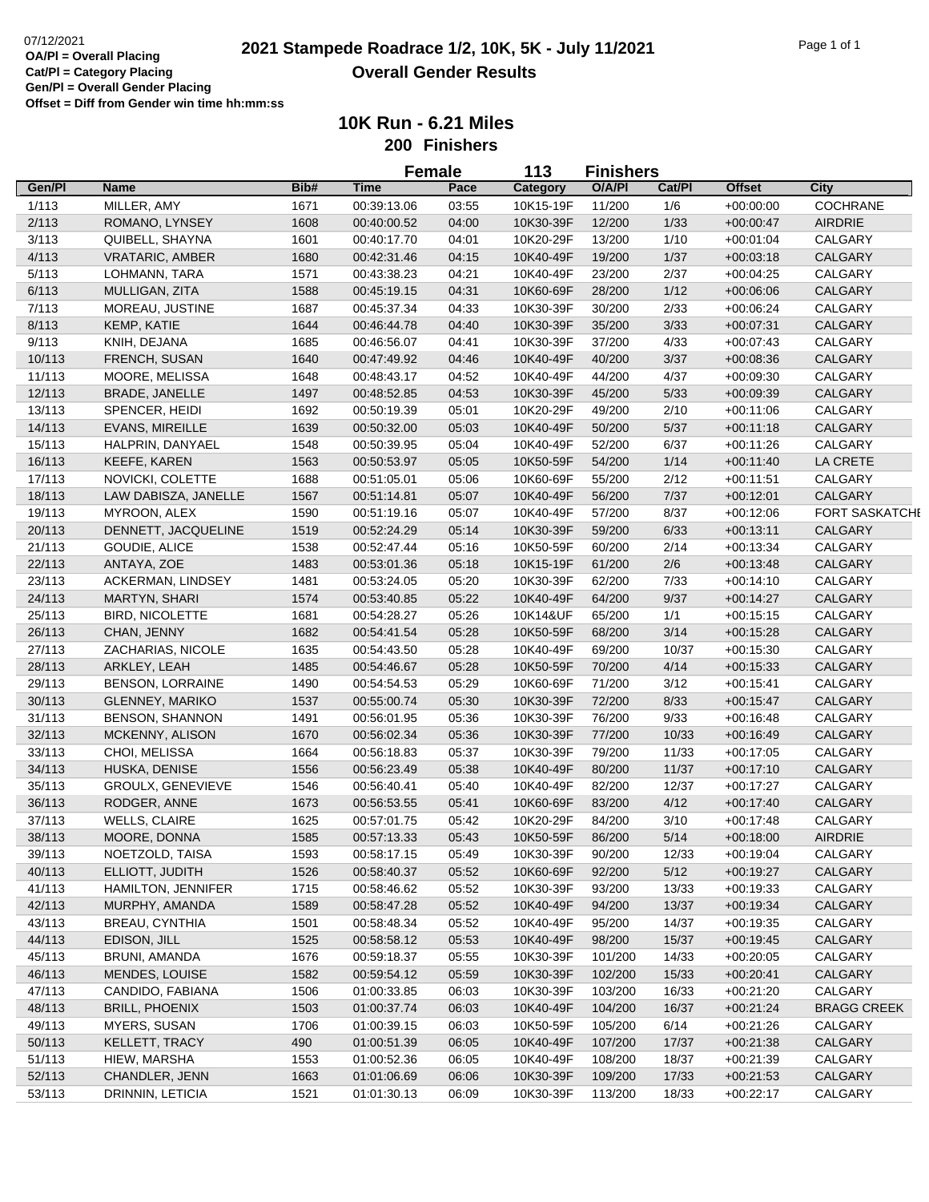|        |                           |              | <b>Female</b><br>113       |                | <b>Finishers</b> |         |               |               |                       |  |
|--------|---------------------------|--------------|----------------------------|----------------|------------------|---------|---------------|---------------|-----------------------|--|
| Gen/Pl | Name                      | Bib#         | <b>Time</b>                | Pace           | Category         | O/A/PI  | Cat/Pl        | <b>Offset</b> | City                  |  |
| 1/113  | MILLER, AMY               | 1671         | 00:39:13.06                | 03:55          | 10K15-19F        | 11/200  | 1/6           | $+00:00:00$   | <b>COCHRANE</b>       |  |
| 2/113  | ROMANO, LYNSEY            | 1608         | 00:40:00.52                | 04:00          | 10K30-39F        | 12/200  | 1/33          | $+00:00:47$   | AIRDRIE               |  |
| 3/113  | QUIBELL, SHAYNA           | 1601         | 00:40:17.70                | 04:01          | 10K20-29F        | 13/200  | 1/10          | $+00:01:04$   | CALGARY               |  |
| 4/113  | <b>VRATARIC, AMBER</b>    | 1680         | 00:42:31.46                | 04:15          | 10K40-49F        | 19/200  | 1/37          | $+00:03:18$   | <b>CALGARY</b>        |  |
| 5/113  | LOHMANN, TARA             | 1571         | 00:43:38.23                | 04:21          | 10K40-49F        | 23/200  | 2/37          | $+00:04:25$   | CALGARY               |  |
| 6/113  | MULLIGAN, ZITA            | 1588         | 00:45:19.15                | 04:31          | 10K60-69F        | 28/200  | 1/12          | $+00:06:06$   | <b>CALGARY</b>        |  |
| 7/113  | MOREAU, JUSTINE           | 1687         | 00:45:37.34                | 04:33          | 10K30-39F        | 30/200  | 2/33          | $+00:06:24$   | CALGARY               |  |
| 8/113  | KEMP, KATIE               | 1644         | 00:46:44.78                | 04:40          | 10K30-39F        | 35/200  | 3/33          | $+00:07:31$   | CALGARY               |  |
| 9/113  | KNIH, DEJANA              | 1685         | 00:46:56.07                | 04:41          | 10K30-39F        | 37/200  | 4/33          | $+00:07:43$   | CALGARY               |  |
| 10/113 | FRENCH, SUSAN             | 1640         | 00:47:49.92                | 04:46          | 10K40-49F        | 40/200  | 3/37          | $+00:08:36$   | CALGARY               |  |
| 11/113 | MOORE, MELISSA            | 1648         | 00:48:43.17                | 04:52          | 10K40-49F        | 44/200  | 4/37          | $+00:09:30$   | CALGARY               |  |
| 12/113 | <b>BRADE, JANELLE</b>     | 1497         | 00:48:52.85                | 04:53          | 10K30-39F        | 45/200  | 5/33          | $+00:09:39$   | CALGARY               |  |
| 13/113 | SPENCER, HEIDI            | 1692         | 00:50:19.39                | 05:01          | 10K20-29F        | 49/200  | 2/10          | $+00:11:06$   | CALGARY               |  |
| 14/113 | <b>EVANS, MIREILLE</b>    | 1639         | 00:50:32.00                | 05:03          | 10K40-49F        | 50/200  | 5/37          | $+00:11:18$   | <b>CALGARY</b>        |  |
| 15/113 | HALPRIN, DANYAEL          | 1548         | 00:50:39.95                | 05:04          | 10K40-49F        | 52/200  | 6/37          | $+00:11:26$   | CALGARY               |  |
| 16/113 | <b>KEEFE, KAREN</b>       | 1563         | 00:50:53.97                | 05:05          | 10K50-59F        | 54/200  | 1/14          | $+00:11:40$   | LA CRETE              |  |
| 17/113 | NOVICKI, COLETTE          | 1688         | 00:51:05.01                | 05:06          | 10K60-69F        | 55/200  | 2/12          | $+00:11:51$   | CALGARY               |  |
| 18/113 | LAW DABISZA, JANELLE      | 1567         |                            | 05:07          | 10K40-49F        | 56/200  | 7/37          | $+00:12:01$   | <b>CALGARY</b>        |  |
|        |                           |              | 00:51:14.81                |                |                  |         |               |               |                       |  |
| 19/113 | MYROON, ALEX              | 1590         | 00:51:19.16                | 05:07          | 10K40-49F        | 57/200  | 8/37          | $+00:12:06$   | <b>FORT SASKATCHI</b> |  |
| 20/113 | DENNETT, JACQUELINE       | 1519         | 00:52:24.29                | 05:14          | 10K30-39F        | 59/200  | 6/33          | $+00:13:11$   | <b>CALGARY</b>        |  |
| 21/113 | GOUDIE, ALICE             | 1538         | 00:52:47.44                | 05:16          | 10K50-59F        | 60/200  | 2/14          | $+00:13:34$   | CALGARY               |  |
| 22/113 | ANTAYA, ZOE               | 1483         | 00:53:01.36                | 05:18          | 10K15-19F        | 61/200  | 2/6           | $+00:13:48$   | CALGARY               |  |
| 23/113 | ACKERMAN, LINDSEY         | 1481         | 00:53:24.05                | 05:20          | 10K30-39F        | 62/200  | 7/33          | $+00:14:10$   | CALGARY               |  |
| 24/113 | MARTYN, SHARI             | 1574         | 00:53:40.85                | 05:22          | 10K40-49F        | 64/200  | 9/37          | $+00:14:27$   | CALGARY               |  |
| 25/113 | <b>BIRD, NICOLETTE</b>    | 1681         | 00:54:28.27                | 05:26          | 10K14&UF         | 65/200  | 1/1           | $+00:15:15$   | CALGARY               |  |
| 26/113 | CHAN, JENNY               | 1682         | 00:54:41.54                | 05:28          | 10K50-59F        | 68/200  | 3/14          | $+00:15:28$   | <b>CALGARY</b>        |  |
| 27/113 | ZACHARIAS, NICOLE         | 1635         | 00:54:43.50                | 05:28          | 10K40-49F        | 69/200  | 10/37         | $+00:15:30$   | CALGARY               |  |
| 28/113 | ARKLEY, LEAH              | 1485         | 00:54:46.67                | 05:28          | 10K50-59F        | 70/200  | 4/14          | $+00:15:33$   | CALGARY               |  |
| 29/113 | <b>BENSON, LORRAINE</b>   | 1490         | 00:54:54.53                | 05:29          | 10K60-69F        | 71/200  | 3/12          | $+00:15:41$   | CALGARY               |  |
| 30/113 | GLENNEY, MARIKO           | 1537         | 00:55:00.74                | 05:30          | 10K30-39F        | 72/200  | 8/33          | $+00:15:47$   | CALGARY               |  |
| 31/113 | <b>BENSON, SHANNON</b>    | 1491         | 00:56:01.95                | 05:36          | 10K30-39F        | 76/200  | 9/33          | $+00:16:48$   | CALGARY               |  |
| 32/113 | MCKENNY, ALISON           | 1670         | 00:56:02.34                | 05:36          | 10K30-39F        | 77/200  | 10/33         | $+00:16:49$   | CALGARY               |  |
| 33/113 | CHOI, MELISSA             | 1664         | 00:56:18.83                | 05:37          | 10K30-39F        | 79/200  | 11/33         | $+00:17:05$   | CALGARY               |  |
| 34/113 | HUSKA, DENISE             | 1556         | 00:56:23.49                | 05:38          | 10K40-49F        | 80/200  | 11/37         | $+00:17:10$   | <b>CALGARY</b>        |  |
| 35/113 | <b>GROULX, GENEVIEVE</b>  | 1546         | 00:56:40.41                | 05:40          | 10K40-49F        | 82/200  | 12/37         | $+00:17:27$   | CALGARY               |  |
| 36/113 | RODGER, ANNE              | 1673         | 00:56:53.55                | 05:41          | 10K60-69F        | 83/200  | 4/12          | $+00:17:40$   | <b>CALGARY</b>        |  |
| 37/113 | <b>WELLS, CLAIRE</b>      | 1625         | 00:57:01.75                | 05:42          | 10K20-29F        | 84/200  | 3/10          | $+00:17:48$   | CALGARY               |  |
| 38/113 | MOORE, DONNA              | 1585         | 00:57:13.33                | 05:43          | 10K50-59F        | 86/200  | 5/14          | $+00:18:00$   | <b>AIRDRIE</b>        |  |
| 39/113 | NOETZOLD, TAISA           | 1593         | 00:58:17.15                | 05:49          | 10K30-39F        | 90/200  | 12/33         | $+00:19:04$   | CALGARY               |  |
| 40/113 | ELLIOTT, JUDITH           | 1526         | 00:58:40.37                | 05:52          | 10K60-69F        | 92/200  | 5/12          | $+00:19:27$   | <b>CALGARY</b>        |  |
| 41/113 | <b>HAMILTON, JENNIFER</b> | 1715         | 00:58:46.62                | 05:52          | 10K30-39F        | 93/200  | 13/33         | $+00:19:33$   | CALGARY               |  |
| 42/113 | MURPHY, AMANDA            | 1589         | 00:58:47.28                | 05:52          | 10K40-49F        | 94/200  | 13/37         | $+00:19:34$   | <b>CALGARY</b>        |  |
| 43/113 | BREAU, CYNTHIA            | 1501         | 00:58:48.34                | 05:52          | 10K40-49F        | 95/200  | 14/37         | $+00:19:35$   | CALGARY               |  |
| 44/113 | EDISON, JILL              | 1525         | 00:58:58.12                | 05:53          | 10K40-49F        | 98/200  | 15/37         | $+00:19:45$   | CALGARY               |  |
| 45/113 | BRUNI, AMANDA             | 1676         | 00:59:18.37                | 05:55          | 10K30-39F        | 101/200 | 14/33         | $+00:20:05$   | CALGARY               |  |
| 46/113 | MENDES, LOUISE            | 1582         | 00:59:54.12                | 05:59          | 10K30-39F        | 102/200 | 15/33         | $+00:20:41$   | CALGARY               |  |
| 47/113 | CANDIDO, FABIANA          | 1506         | 01:00:33.85                | 06:03          | 10K30-39F        | 103/200 | 16/33         | $+00:21:20$   | CALGARY               |  |
| 48/113 | <b>BRILL, PHOENIX</b>     |              |                            |                | 10K40-49F        | 104/200 |               |               | <b>BRAGG CREEK</b>    |  |
| 49/113 |                           | 1503<br>1706 | 01:00:37.74<br>01:00:39.15 | 06:03<br>06:03 | 10K50-59F        | 105/200 | 16/37<br>6/14 | $+00:21:24$   | CALGARY               |  |
|        | MYERS, SUSAN              |              |                            |                |                  |         |               | $+00:21:26$   |                       |  |
| 50/113 | KELLETT, TRACY            | 490          | 01:00:51.39                | 06:05          | 10K40-49F        | 107/200 | 17/37         | $+00.21:38$   | <b>CALGARY</b>        |  |
| 51/113 | HIEW, MARSHA              | 1553         | 01:00:52.36                | 06:05          | 10K40-49F        | 108/200 | 18/37         | $+00:21:39$   | CALGARY               |  |
| 52/113 | CHANDLER, JENN            | 1663         | 01:01:06.69                | 06:06          | 10K30-39F        | 109/200 | 17/33         | $+00:21:53$   | CALGARY               |  |
| 53/113 | DRINNIN, LETICIA          | 1521         | 01:01:30.13                | 06:09          | 10K30-39F        | 113/200 | 18/33         | $+00:22:17$   | CALGARY               |  |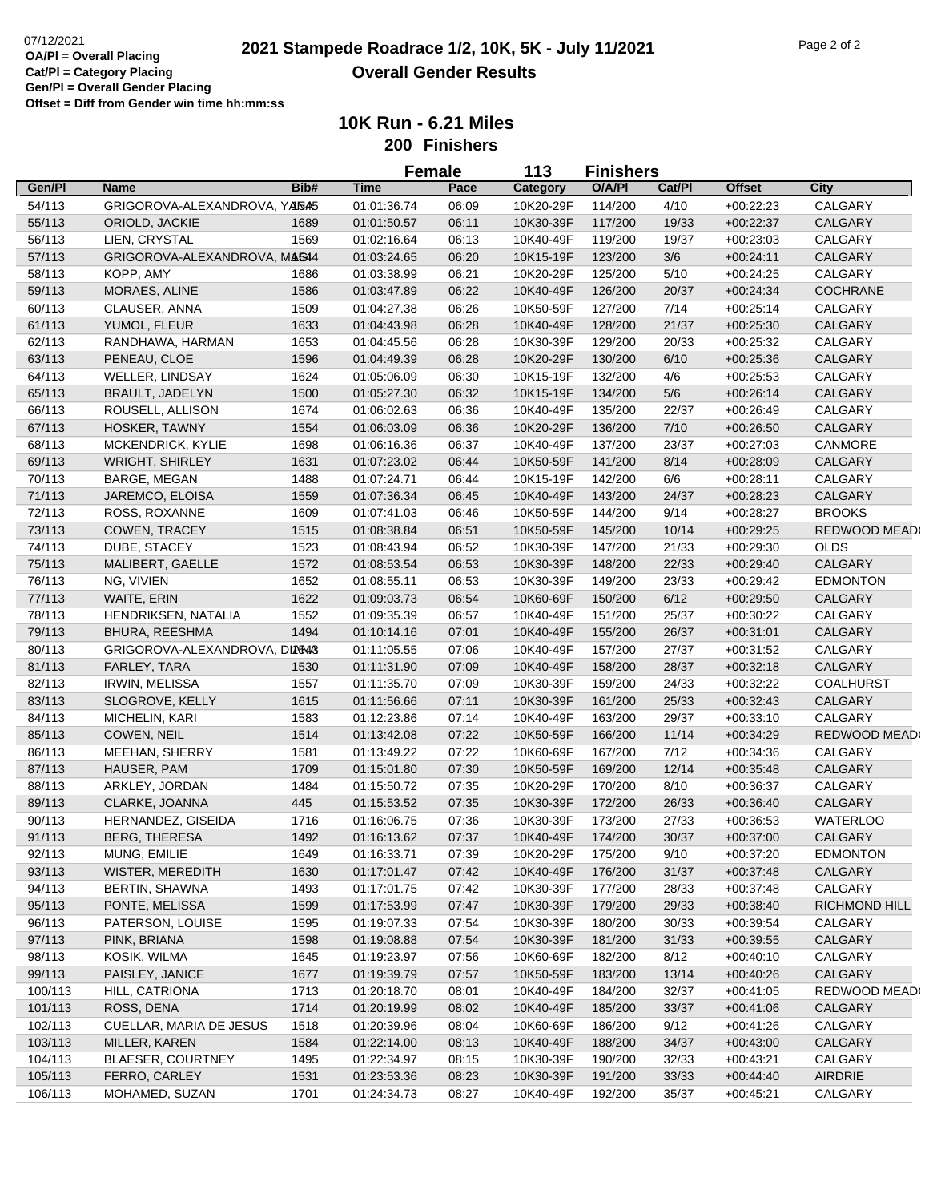|         |                               |      |             | <b>Female</b> | 113       | <b>Finishers</b> |        |               |                  |
|---------|-------------------------------|------|-------------|---------------|-----------|------------------|--------|---------------|------------------|
| Gen/Pl  | Name                          | Bib# | <b>Time</b> | Pace          | Category  | O/A/PI           | Cat/Pl | <b>Offset</b> | <b>City</b>      |
| 54/113  | GRIGOROVA-ALEXANDROVA, YANA5  |      | 01:01:36.74 | 06:09         | 10K20-29F | 114/200          | 4/10   | $+00:22:23$   | CALGARY          |
| 55/113  | ORIOLD, JACKIE                | 1689 | 01:01:50.57 | 06:11         | 10K30-39F | 117/200          | 19/33  | $+00:22:37$   | <b>CALGARY</b>   |
| 56/113  | LIEN, CRYSTAL                 | 1569 | 01:02:16.64 | 06:13         | 10K40-49F | 119/200          | 19/37  | $+00:23:03$   | CALGARY          |
| 57/113  | GRIGOROVA-ALEXANDROVA, MAG44  |      | 01:03:24.65 | 06:20         | 10K15-19F | 123/200          | $3/6$  | $+00:24:11$   | <b>CALGARY</b>   |
| 58/113  | KOPP, AMY                     | 1686 | 01:03:38.99 | 06:21         | 10K20-29F | 125/200          | 5/10   | $+00:24:25$   | CALGARY          |
| 59/113  | MORAES, ALINE                 | 1586 | 01:03:47.89 | 06:22         | 10K40-49F | 126/200          | 20/37  | $+00:24:34$   | <b>COCHRANE</b>  |
| 60/113  | CLAUSER, ANNA                 | 1509 | 01:04:27.38 | 06:26         | 10K50-59F | 127/200          | 7/14   | $+00:25:14$   | CALGARY          |
| 61/113  | YUMOL, FLEUR                  | 1633 | 01:04:43.98 | 06:28         | 10K40-49F | 128/200          | 21/37  | $+00:25:30$   | CALGARY          |
| 62/113  | RANDHAWA, HARMAN              | 1653 | 01:04:45.56 | 06:28         | 10K30-39F | 129/200          | 20/33  | $+00:25:32$   | CALGARY          |
| 63/113  | PENEAU, CLOE                  | 1596 | 01:04:49.39 | 06:28         | 10K20-29F | 130/200          | 6/10   | $+00:25:36$   | CALGARY          |
| 64/113  | <b>WELLER, LINDSAY</b>        | 1624 | 01:05:06.09 | 06:30         | 10K15-19F | 132/200          | 4/6    | $+00:25:53$   | CALGARY          |
| 65/113  | <b>BRAULT, JADELYN</b>        | 1500 | 01:05:27.30 | 06:32         | 10K15-19F | 134/200          | 5/6    | $+00:26:14$   | CALGARY          |
| 66/113  | ROUSELL, ALLISON              | 1674 | 01:06:02.63 | 06:36         | 10K40-49F | 135/200          | 22/37  | $+00:26:49$   | CALGARY          |
| 67/113  | HOSKER, TAWNY                 | 1554 | 01:06:03.09 | 06:36         | 10K20-29F | 136/200          | 7/10   | $+00:26:50$   | <b>CALGARY</b>   |
| 68/113  | MCKENDRICK, KYLIE             | 1698 | 01:06:16.36 | 06:37         | 10K40-49F | 137/200          | 23/37  | $+00:27:03$   | CANMORE          |
| 69/113  | <b>WRIGHT, SHIRLEY</b>        | 1631 | 01:07:23.02 | 06:44         | 10K50-59F | 141/200          | 8/14   | $+00:28:09$   | CALGARY          |
| 70/113  | BARGE, MEGAN                  | 1488 | 01:07:24.71 | 06:44         | 10K15-19F | 142/200          | 6/6    | $+00:28:11$   | CALGARY          |
| 71/113  | JAREMCO, ELOISA               | 1559 | 01:07:36.34 | 06:45         | 10K40-49F | 143/200          | 24/37  | $+00:28:23$   | CALGARY          |
| 72/113  | ROSS, ROXANNE                 | 1609 | 01:07:41.03 | 06:46         | 10K50-59F | 144/200          | 9/14   | $+00:28:27$   | <b>BROOKS</b>    |
| 73/113  | COWEN, TRACEY                 | 1515 | 01:08:38.84 | 06:51         | 10K50-59F | 145/200          | 10/14  | $+00:29:25$   | REDWOOD MEAD     |
| 74/113  | DUBE, STACEY                  | 1523 | 01:08:43.94 | 06:52         | 10K30-39F | 147/200          | 21/33  | $+00:29:30$   | <b>OLDS</b>      |
| 75/113  | MALIBERT, GAELLE              | 1572 | 01:08:53.54 | 06:53         | 10K30-39F | 148/200          | 22/33  | $+00:29:40$   | <b>CALGARY</b>   |
| 76/113  | NG, VIVIEN                    | 1652 | 01:08:55.11 | 06:53         | 10K30-39F | 149/200          | 23/33  | $+00:29:42$   | <b>EDMONTON</b>  |
| 77/113  | WAITE, ERIN                   | 1622 | 01:09:03.73 | 06:54         | 10K60-69F | 150/200          | 6/12   |               | CALGARY          |
| 78/113  | HENDRIKSEN, NATALIA           | 1552 | 01:09:35.39 | 06:57         | 10K40-49F | 151/200          | 25/37  | $+00.29.50$   | CALGARY          |
| 79/113  | <b>BHURA, REESHMA</b>         | 1494 | 01:10:14.16 | 07:01         | 10K40-49F | 155/200          | 26/37  | $+00:30:22$   | CALGARY          |
| 80/113  | GRIGOROVA-ALEXANDROVA, DIANAS |      |             | 07:06         | 10K40-49F | 157/200          | 27/37  | $+00:31:01$   | CALGARY          |
|         |                               |      | 01:11:05.55 |               |           |                  |        | $+00:31:52$   |                  |
| 81/113  | FARLEY, TARA                  | 1530 | 01:11:31.90 | 07:09         | 10K40-49F | 158/200          | 28/37  | $+00:32:18$   | <b>CALGARY</b>   |
| 82/113  | <b>IRWIN, MELISSA</b>         | 1557 | 01:11:35.70 | 07:09         | 10K30-39F | 159/200          | 24/33  | $+00:32:22$   | <b>COALHURST</b> |
| 83/113  | SLOGROVE, KELLY               | 1615 | 01:11:56.66 | 07:11         | 10K30-39F | 161/200          | 25/33  | $+00:32:43$   | <b>CALGARY</b>   |
| 84/113  | MICHELIN, KARI                | 1583 | 01:12:23.86 | 07:14         | 10K40-49F | 163/200          | 29/37  | $+00:33:10$   | CALGARY          |
| 85/113  | COWEN, NEIL                   | 1514 | 01:13:42.08 | 07:22         | 10K50-59F | 166/200          | 11/14  | $+00:34:29$   | REDWOOD MEAD     |
| 86/113  | MEEHAN, SHERRY                | 1581 | 01:13:49.22 | 07:22         | 10K60-69F | 167/200          | 7/12   | $+00:34:36$   | CALGARY          |
| 87/113  | HAUSER, PAM                   | 1709 | 01:15:01.80 | 07:30         | 10K50-59F | 169/200          | 12/14  | $+00:35:48$   | <b>CALGARY</b>   |
| 88/113  | ARKLEY, JORDAN                | 1484 | 01:15:50.72 | 07:35         | 10K20-29F | 170/200          | 8/10   | $+00.36.37$   | CALGARY          |
| 89/113  | CLARKE, JOANNA                | 445  | 01:15:53.52 | 07:35         | 10K30-39F | 172/200          | 26/33  | $+00.36:40$   | CALGARY          |
| 90/113  | HERNANDEZ, GISEIDA            | 1716 | 01:16:06.75 | 07:36         | 10K30-39F | 173/200          | 27/33  | $+00:36:53$   | <b>WATERLOO</b>  |
| 91/113  | <b>BERG, THERESA</b>          | 1492 | 01:16:13.62 | 07:37         | 10K40-49F | 174/200          | 30/37  | $+00:37:00$   | <b>CALGARY</b>   |
| 92/113  | MUNG, EMILIE                  | 1649 | 01:16:33.71 | 07:39         | 10K20-29F | 175/200          | 9/10   | $+00:37:20$   | <b>EDMONTON</b>  |
| 93/113  | WISTER, MEREDITH              | 1630 | 01:17:01.47 | 07:42         | 10K40-49F | 176/200          | 31/37  | $+00.37.48$   | CALGARY          |
| 94/113  | <b>BERTIN, SHAWNA</b>         | 1493 | 01:17:01.75 | 07:42         | 10K30-39F | 177/200          | 28/33  | $+00:37:48$   | CALGARY          |
| 95/113  | PONTE, MELISSA                | 1599 | 01:17:53.99 | 07:47         | 10K30-39F | 179/200          | 29/33  | $+00:38:40$   | RICHMOND HILL    |
| 96/113  | PATERSON, LOUISE              | 1595 | 01:19:07.33 | 07:54         | 10K30-39F | 180/200          | 30/33  | $+00:39:54$   | CALGARY          |
| 97/113  | PINK, BRIANA                  | 1598 | 01:19:08.88 | 07:54         | 10K30-39F | 181/200          | 31/33  | $+00:39:55$   | CALGARY          |
| 98/113  | KOSIK, WILMA                  | 1645 | 01:19:23.97 | 07:56         | 10K60-69F | 182/200          | 8/12   | $+00:40:10$   | CALGARY          |
| 99/113  | PAISLEY, JANICE               | 1677 | 01:19:39.79 | 07:57         | 10K50-59F | 183/200          | 13/14  | $+00:40:26$   | CALGARY          |
| 100/113 | HILL, CATRIONA                | 1713 | 01:20:18.70 | 08:01         | 10K40-49F | 184/200          | 32/37  | $+00:41:05$   | REDWOOD MEAD     |
| 101/113 | ROSS, DENA                    | 1714 | 01:20:19.99 | 08:02         | 10K40-49F | 185/200          | 33/37  | $+00.41:06$   | <b>CALGARY</b>   |
| 102/113 | CUELLAR, MARIA DE JESUS       | 1518 | 01:20:39.96 | 08:04         | 10K60-69F | 186/200          | 9/12   | $+00:41:26$   | CALGARY          |
| 103/113 | MILLER, KAREN                 | 1584 | 01:22:14.00 | 08:13         | 10K40-49F | 188/200          | 34/37  | $+00:43:00$   | <b>CALGARY</b>   |
| 104/113 | BLAESER, COURTNEY             | 1495 | 01:22:34.97 | 08:15         | 10K30-39F | 190/200          | 32/33  | $+00:43:21$   | CALGARY          |
| 105/113 | FERRO, CARLEY                 | 1531 | 01:23:53.36 | 08:23         | 10K30-39F | 191/200          | 33/33  | $+00.44:40$   | AIRDRIE          |
| 106/113 | MOHAMED, SUZAN                | 1701 | 01:24:34.73 | 08:27         | 10K40-49F | 192/200          | 35/37  | $+00:45:21$   | CALGARY          |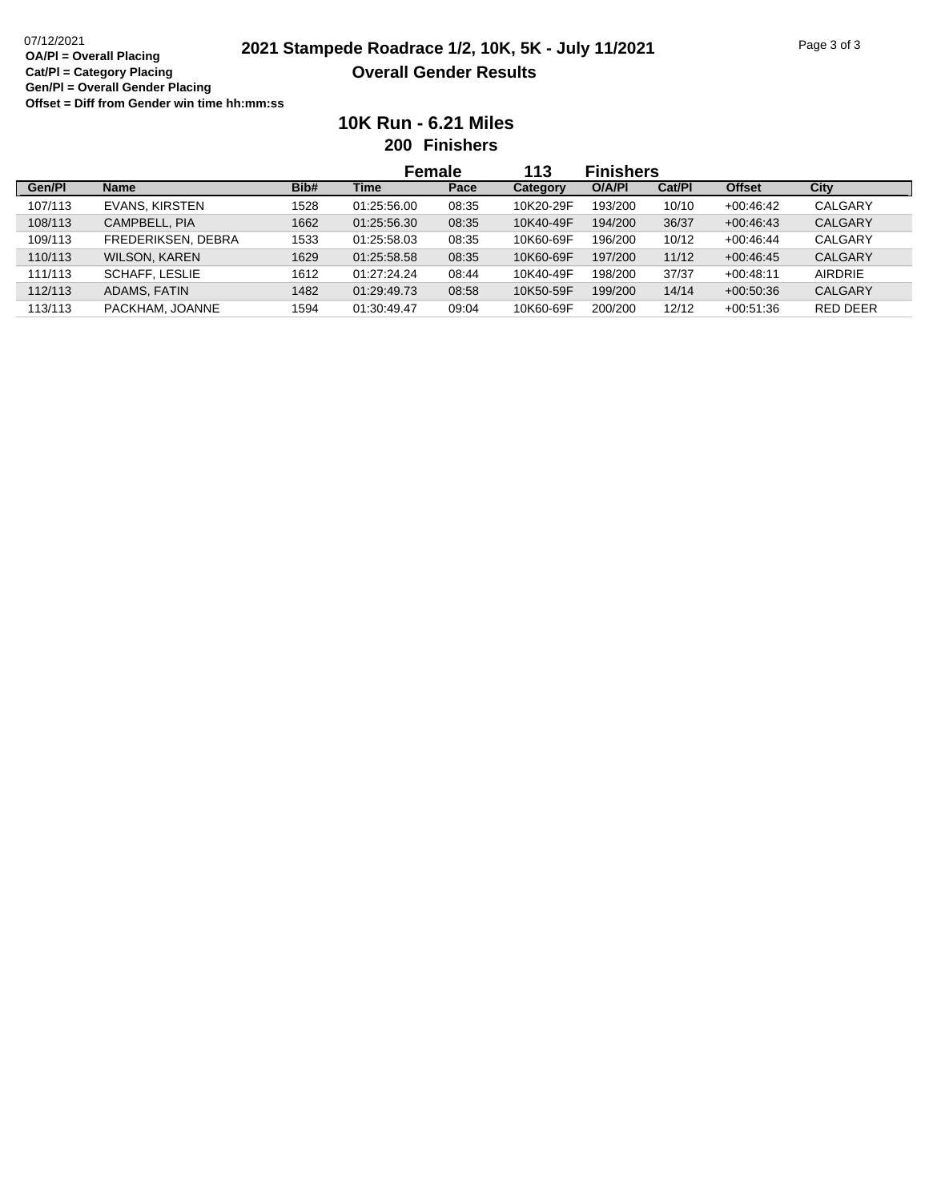|         |                       |      | <b>Female</b> |       | 113       | <b>Finishers</b> |        |               |                |
|---------|-----------------------|------|---------------|-------|-----------|------------------|--------|---------------|----------------|
| Gen/Pl  | <b>Name</b>           | Bib# | Time          | Pace  | Category  | O/A/PI           | Cat/PI | <b>Offset</b> | City           |
| 107/113 | EVANS, KIRSTEN        | 1528 | 01:25:56.00   | 08:35 | 10K20-29F | 193/200          | 10/10  | $+00.46.42$   | CALGARY        |
| 108/113 | CAMPBELL, PIA         | 1662 | 01:25:56.30   | 08:35 | 10K40-49F | 194/200          | 36/37  | $+00.46.43$   | <b>CALGARY</b> |
| 109/113 | FREDERIKSEN, DEBRA    | 1533 | 01:25:58.03   | 08:35 | 10K60-69F | 196/200          | 10/12  | $+00.46.44$   | CALGARY        |
| 110/113 | <b>WILSON, KAREN</b>  | 1629 | 01:25:58.58   | 08:35 | 10K60-69F | 197/200          | 11/12  | $+00.46.45$   | <b>CALGARY</b> |
| 111/113 | <b>SCHAFF, LESLIE</b> | 1612 | 01:27:24.24   | 08:44 | 10K40-49F | 198/200          | 37/37  | $+00:48:11$   | <b>AIRDRIE</b> |
| 112/113 | ADAMS, FATIN          | 1482 | 01:29:49.73   | 08:58 | 10K50-59F | 199/200          | 14/14  | $+00.50.36$   | <b>CALGARY</b> |
| 113/113 | PACKHAM, JOANNE       | 1594 | 01:30:49.47   | 09:04 | 10K60-69F | 200/200          | 12/12  | $+00.51.36$   | RED DEER       |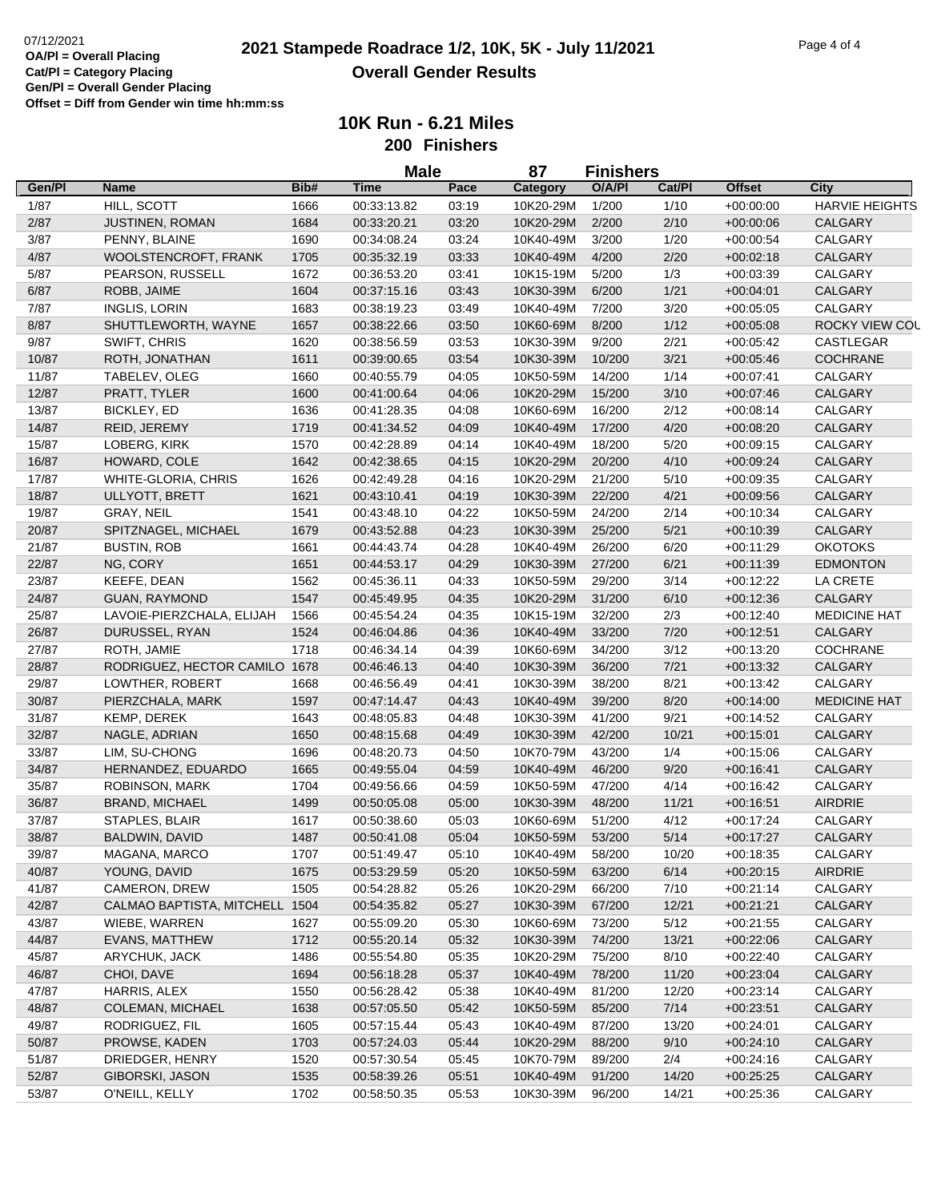|                |                                |              | <b>Male</b>                |                | 87<br><b>Finishers</b> |                  |              |                            |                       |
|----------------|--------------------------------|--------------|----------------------------|----------------|------------------------|------------------|--------------|----------------------------|-----------------------|
| Gen/Pl         | <b>Name</b>                    | Bib#         | Time                       | Pace           | Category               | O/A/PI           | Cat/Pl       | <b>Offset</b>              | City                  |
| 1/87           | HILL, SCOTT                    | 1666         | 00:33:13.82                | 03:19          | 10K20-29M              | 1/200            | 1/10         | $+00:00:00$                | <b>HARVIE HEIGHTS</b> |
| 2/87           | JUSTINEN, ROMAN                | 1684         | 00:33:20.21                | 03:20          | 10K20-29M              | 2/200            | 2/10         | $+00:00:06$                | <b>CALGARY</b>        |
| 3/87           | PENNY, BLAINE                  | 1690         | 00:34:08.24                | 03:24          | 10K40-49M              | 3/200            | 1/20         | $+00:00:54$                | CALGARY               |
| 4/87           | WOOLSTENCROFT, FRANK           | 1705         | 00:35:32.19                | 03:33          | 10K40-49M              | 4/200            | 2/20         | $+00:02:18$                | CALGARY               |
| 5/87           | PEARSON, RUSSELL               | 1672         | 00:36:53.20                | 03:41          | 10K15-19M              | 5/200            | 1/3          | $+00:03:39$                | CALGARY               |
| 6/87           | ROBB, JAIME                    | 1604         | 00:37:15.16                | 03:43          | 10K30-39M              | 6/200            | 1/21         | $+00:04:01$                | CALGARY               |
| 7/87           | <b>INGLIS, LORIN</b>           | 1683         | 00:38:19.23                | 03:49          | 10K40-49M              | 7/200            | 3/20         | $+00:05:05$                | CALGARY               |
| 8/87           | SHUTTLEWORTH, WAYNE            | 1657         | 00:38:22.66                | 03:50          | 10K60-69M              | 8/200            | 1/12         | $+00.05.08$                | ROCKY VIEW COL        |
| 9/87           | SWIFT, CHRIS                   | 1620         | 00:38:56.59                | 03:53          | 10K30-39M              | 9/200            | 2/21         | $+00:05:42$                | CASTLEGAR             |
| 10/87          | ROTH, JONATHAN                 | 1611         | 00:39:00.65                | 03:54          | 10K30-39M              | 10/200           | 3/21         | $+00.05.46$                | <b>COCHRANE</b>       |
| 11/87          | TABELEV, OLEG                  | 1660         | 00:40:55.79                | 04:05          | 10K50-59M              | 14/200           | 1/14         | $+00.07:41$                | CALGARY               |
| 12/87          | PRATT, TYLER                   | 1600         | 00:41:00.64                | 04:06          | 10K20-29M              | 15/200           | 3/10         | $+00:07:46$                | CALGARY               |
| 13/87          | BICKLEY, ED                    | 1636         | 00:41:28.35                | 04:08          | 10K60-69M              | 16/200           | 2/12         | $+00:08:14$                | CALGARY               |
| 14/87          | REID, JEREMY                   | 1719         | 00:41:34.52                | 04:09          | 10K40-49M              | 17/200           | 4/20         | $+00:08:20$                | CALGARY               |
| 15/87          | LOBERG, KIRK                   | 1570         | 00:42:28.89                | 04:14          | 10K40-49M              | 18/200           | 5/20         | $+00:09:15$                | CALGARY               |
| 16/87          | HOWARD, COLE                   | 1642         | 00:42:38.65                | 04:15          | 10K20-29M              | 20/200           | 4/10         |                            | CALGARY               |
| 17/87          | WHITE-GLORIA, CHRIS            | 1626         | 00:42:49.28                | 04:16          | 10K20-29M              | 21/200           | 5/10         | $+00:09:24$<br>$+00:09:35$ | CALGARY               |
|                |                                |              |                            |                |                        |                  |              |                            | <b>CALGARY</b>        |
| 18/87<br>19/87 | ULLYOTT, BRETT<br>GRAY, NEIL   | 1621<br>1541 | 00:43:10.41<br>00:43:48.10 | 04:19<br>04:22 | 10K30-39M<br>10K50-59M | 22/200<br>24/200 | 4/21<br>2/14 | $+00:09:56$<br>$+00.10.34$ | CALGARY               |
|                |                                |              |                            |                |                        |                  |              |                            |                       |
| 20/87          | SPITZNAGEL, MICHAEL            | 1679         | 00:43:52.88                | 04:23          | 10K30-39M              | 25/200           | 5/21         | $+00:10:39$                | <b>CALGARY</b>        |
| 21/87          | <b>BUSTIN, ROB</b>             | 1661         | 00:44:43.74                | 04:28          | 10K40-49M              | 26/200           | 6/20         | $+00:11:29$                | <b>OKOTOKS</b>        |
| 22/87          | NG, CORY                       | 1651         | 00:44:53.17                | 04:29          | 10K30-39M              | 27/200           | 6/21         | $+00:11:39$                | <b>EDMONTON</b>       |
| 23/87          | KEEFE, DEAN                    | 1562         | 00:45:36.11                | 04:33          | 10K50-59M              | 29/200           | 3/14         | $+00:12:22$                | LA CRETE              |
| 24/87          | <b>GUAN, RAYMOND</b>           | 1547         | 00:45:49.95                | 04:35          | 10K20-29M              | 31/200           | 6/10         | $+00:12:36$                | CALGARY               |
| 25/87          | LAVOIE-PIERZCHALA, ELIJAH      | 1566         | 00:45:54.24                | 04:35          | 10K15-19M              | 32/200           | 2/3          | $+00:12:40$                | <b>MEDICINE HAT</b>   |
| 26/87          | DURUSSEL, RYAN                 | 1524         | 00:46:04.86                | 04:36          | 10K40-49M              | 33/200           | 7/20         | $+00:12:51$                | CALGARY               |
| 27/87          | ROTH, JAMIE                    | 1718         | 00:46:34.14                | 04:39          | 10K60-69M              | 34/200           | 3/12         | $+00:13:20$                | <b>COCHRANE</b>       |
| 28/87          | RODRIGUEZ, HECTOR CAMILO 1678  |              | 00:46:46.13                | 04:40          | 10K30-39M              | 36/200           | 7/21         | $+00:13:32$                | CALGARY               |
| 29/87          | LOWTHER, ROBERT                | 1668         | 00:46:56.49                | 04:41          | 10K30-39M              | 38/200           | 8/21         | $+00:13:42$                | CALGARY               |
| 30/87          | PIERZCHALA, MARK               | 1597         | 00:47:14.47                | 04:43          | 10K40-49M              | 39/200           | 8/20         | $+00:14:00$                | <b>MEDICINE HAT</b>   |
| 31/87          | KEMP, DEREK                    | 1643         | 00:48:05.83                | 04:48          | 10K30-39M              | 41/200           | 9/21         | $+00:14:52$                | CALGARY               |
| 32/87          | NAGLE, ADRIAN                  | 1650         | 00:48:15.68                | 04:49          | 10K30-39M              | 42/200           | 10/21        | $+00:15:01$                | CALGARY               |
| 33/87          | LIM, SU-CHONG                  | 1696         | 00:48:20.73                | 04:50          | 10K70-79M              | 43/200           | 1/4          | $+00:15:06$                | CALGARY               |
| 34/87          | HERNANDEZ, EDUARDO             | 1665         | 00:49:55.04                | 04:59          | 10K40-49M              | 46/200           | 9/20         | $+00:16:41$                | <b>CALGARY</b>        |
| 35/87          | ROBINSON, MARK                 | 1704         | 00:49:56.66                | 04:59          | 10K50-59M              | 47/200           | 4/14         | $+00:16:42$                | CALGARY               |
| 36/87          | <b>BRAND, MICHAEL</b>          | 1499         | 00:50:05.08                | 05:00          | 10K30-39M              | 48/200           | 11/21        | $+00:16:51$                | <b>AIRDRIE</b>        |
| 37/87          | STAPLES, BLAIR                 | 1617         | 00:50:38.60                | 05:03          | 10K60-69M              | 51/200           | 4/12         | $+00:17:24$                | CALGARY               |
| 38/87          | BALDWIN, DAVID                 | 1487         | 00:50:41.08                | 05:04          | 10K50-59M              | 53/200           | $5/14$       | $+00:17:27$                | CALGARY               |
| 39/87          | MAGANA, MARCO                  | 1707         | 00:51:49.47                | 05:10          | 10K40-49M              | 58/200           | 10/20        | $+00:18:35$                | CALGARY               |
| 40/87          | YOUNG, DAVID                   | 1675         | 00:53:29.59                | 05:20          | 10K50-59M              | 63/200           | 6/14         | $+00:20:15$                | AIRDRIE               |
| 41/87          | CAMERON, DREW                  | 1505         | 00:54:28.82                | 05:26          | 10K20-29M              | 66/200           | 7/10         | $+00:21:14$                | CALGARY               |
| 42/87          | CALMAO BAPTISTA, MITCHELL 1504 |              | 00:54:35.82                | 05:27          | 10K30-39M              | 67/200           | 12/21        | $+00:21:21$                | CALGARY               |
| 43/87          | WIEBE, WARREN                  | 1627         | 00:55:09.20                | 05:30          | 10K60-69M              | 73/200           | 5/12         | $+00:21:55$                | CALGARY               |
| 44/87          | EVANS, MATTHEW                 | 1712         | 00:55:20.14                | 05:32          | 10K30-39M              | 74/200           | 13/21        | $+00:22:06$                | CALGARY               |
| 45/87          | ARYCHUK, JACK                  | 1486         | 00:55:54.80                | 05:35          | 10K20-29M              | 75/200           | 8/10         | $+00:22:40$                | CALGARY               |
| 46/87          | CHOI, DAVE                     | 1694         | 00:56:18.28                | 05:37          | 10K40-49M              | 78/200           | 11/20        | $+00:23:04$                | CALGARY               |
| 47/87          | HARRIS, ALEX                   | 1550         | 00:56:28.42                | 05:38          | 10K40-49M              | 81/200           | 12/20        | $+00:23:14$                | CALGARY               |
| 48/87          | COLEMAN, MICHAEL               | 1638         | 00:57:05.50                | 05:42          | 10K50-59M              | 85/200           | 7/14         | $+00:23:51$                | CALGARY               |
| 49/87          | RODRIGUEZ, FIL                 | 1605         | 00:57:15.44                | 05:43          | 10K40-49M              | 87/200           | 13/20        | $+00:24:01$                | CALGARY               |
| 50/87          | PROWSE, KADEN                  | 1703         | 00:57:24.03                | 05:44          | 10K20-29M              | 88/200           | 9/10         | $+00:24:10$                | CALGARY               |
| 51/87          | DRIEDGER, HENRY                | 1520         | 00:57:30.54                | 05:45          | 10K70-79M              | 89/200           | 2/4          | $+00:24:16$                | CALGARY               |
| 52/87          | GIBORSKI, JASON                | 1535         | 00:58:39.26                | 05:51          | 10K40-49M              | 91/200           | 14/20        | $+00:25:25$                | CALGARY               |
| 53/87          | O'NEILL, KELLY                 | 1702         | 00:58:50.35                | 05:53          | 10K30-39M              | 96/200           | 14/21        | $+00:25:36$                | CALGARY               |
|                |                                |              |                            |                |                        |                  |              |                            |                       |